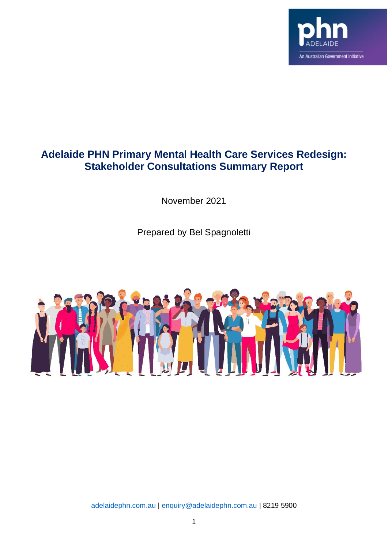

# **Adelaide PHN Primary Mental Health Care Services Redesign: Stakeholder Consultations Summary Report**

November 2021

Prepared by Bel Spagnoletti

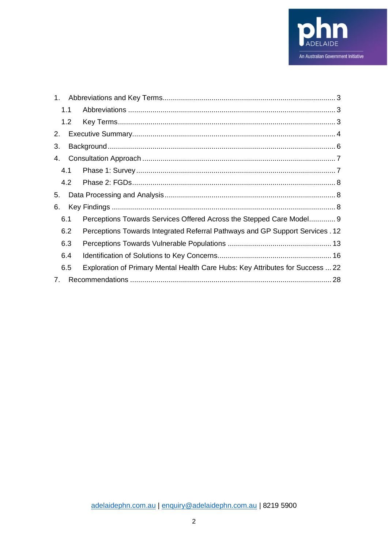| 1.             |                                                                                |
|----------------|--------------------------------------------------------------------------------|
| 1.1            |                                                                                |
| 1.2            |                                                                                |
| 2.             |                                                                                |
| 3.             |                                                                                |
| 4.             |                                                                                |
| 4.1            |                                                                                |
| 4.2            |                                                                                |
| 5.             |                                                                                |
| 6.             |                                                                                |
| 6.1            | Perceptions Towards Services Offered Across the Stepped Care Model 9           |
| 6.2            | Perceptions Towards Integrated Referral Pathways and GP Support Services . 12  |
| 6.3            |                                                                                |
| 6.4            |                                                                                |
| 6.5            | Exploration of Primary Mental Health Care Hubs: Key Attributes for Success  22 |
| 7 <sub>1</sub> |                                                                                |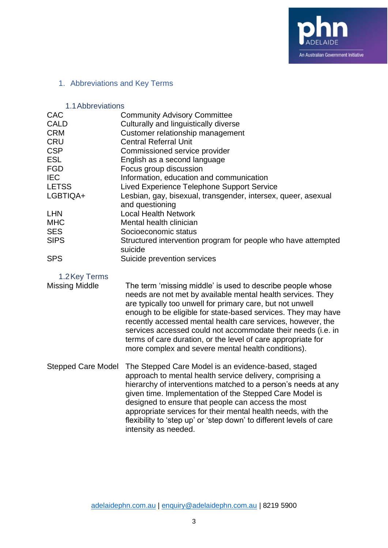

# <span id="page-2-0"></span>1. Abbreviations and Key Terms

<span id="page-2-2"></span><span id="page-2-1"></span>

| 1.1 Abbreviations                      |                                                                                                                                                                                                                                                                                                                                                                                                                                                                                                              |
|----------------------------------------|--------------------------------------------------------------------------------------------------------------------------------------------------------------------------------------------------------------------------------------------------------------------------------------------------------------------------------------------------------------------------------------------------------------------------------------------------------------------------------------------------------------|
| <b>CAC</b>                             | <b>Community Advisory Committee</b>                                                                                                                                                                                                                                                                                                                                                                                                                                                                          |
| <b>CALD</b>                            | Culturally and linguistically diverse                                                                                                                                                                                                                                                                                                                                                                                                                                                                        |
| <b>CRM</b>                             | Customer relationship management                                                                                                                                                                                                                                                                                                                                                                                                                                                                             |
| <b>CRU</b>                             | <b>Central Referral Unit</b>                                                                                                                                                                                                                                                                                                                                                                                                                                                                                 |
| <b>CSP</b>                             | Commissioned service provider                                                                                                                                                                                                                                                                                                                                                                                                                                                                                |
| <b>ESL</b>                             | English as a second language                                                                                                                                                                                                                                                                                                                                                                                                                                                                                 |
| <b>FGD</b>                             | Focus group discussion                                                                                                                                                                                                                                                                                                                                                                                                                                                                                       |
| <b>IEC</b>                             | Information, education and communication                                                                                                                                                                                                                                                                                                                                                                                                                                                                     |
| <b>LETSS</b>                           | Lived Experience Telephone Support Service                                                                                                                                                                                                                                                                                                                                                                                                                                                                   |
| LGBTIQA+                               | Lesbian, gay, bisexual, transgender, intersex, queer, asexual<br>and questioning                                                                                                                                                                                                                                                                                                                                                                                                                             |
| <b>LHN</b>                             | <b>Local Health Network</b>                                                                                                                                                                                                                                                                                                                                                                                                                                                                                  |
| <b>MHC</b>                             | Mental health clinician                                                                                                                                                                                                                                                                                                                                                                                                                                                                                      |
| <b>SES</b>                             | Socioeconomic status                                                                                                                                                                                                                                                                                                                                                                                                                                                                                         |
| <b>SIPS</b>                            | Structured intervention program for people who have attempted                                                                                                                                                                                                                                                                                                                                                                                                                                                |
|                                        | suicide                                                                                                                                                                                                                                                                                                                                                                                                                                                                                                      |
| <b>SPS</b>                             | Suicide prevention services                                                                                                                                                                                                                                                                                                                                                                                                                                                                                  |
|                                        |                                                                                                                                                                                                                                                                                                                                                                                                                                                                                                              |
| 1.2 Key Terms<br><b>Missing Middle</b> | The term 'missing middle' is used to describe people whose<br>needs are not met by available mental health services. They<br>are typically too unwell for primary care, but not unwell<br>enough to be eligible for state-based services. They may have<br>recently accessed mental health care services, however, the<br>services accessed could not accommodate their needs (i.e. in<br>terms of care duration, or the level of care appropriate for<br>more complex and severe mental health conditions). |
| <b>Stepped Care Model</b>              | The Stepped Care Model is an evidence-based, staged<br>approach to mental health service delivery, comprising a<br>hierarchy of interventions matched to a person's needs at any<br>given time. Implementation of the Stepped Care Model is<br>designed to ensure that people can access the most<br>appropriate services for their mental health needs, with the<br>flexibility to 'step up' or 'step down' to different levels of care<br>intensity as needed.                                             |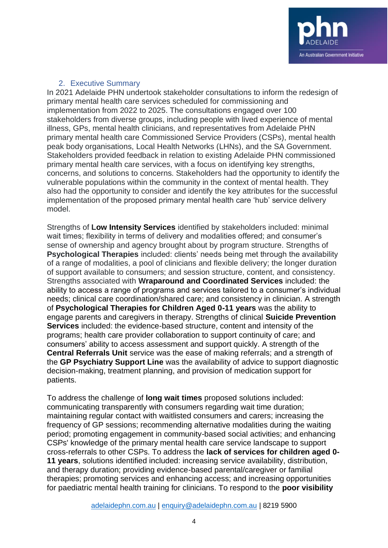#### 2. Executive Summary

<span id="page-3-0"></span>In 2021 Adelaide PHN undertook stakeholder consultations to inform the redesign of primary mental health care services scheduled for commissioning and implementation from 2022 to 2025. The consultations engaged over 100 stakeholders from diverse groups, including people with lived experience of mental illness, GPs, mental health clinicians, and representatives from Adelaide PHN primary mental health care Commissioned Service Providers (CSPs), mental health peak body organisations, Local Health Networks (LHNs), and the SA Government. Stakeholders provided feedback in relation to existing Adelaide PHN commissioned primary mental health care services, with a focus on identifying key strengths, concerns, and solutions to concerns. Stakeholders had the opportunity to identify the vulnerable populations within the community in the context of mental health. They also had the opportunity to consider and identify the key attributes for the successful implementation of the proposed primary mental health care 'hub' service delivery model.

Strengths of **Low Intensity Services** identified by stakeholders included: minimal wait times; flexibility in terms of delivery and modalities offered; and consumer's sense of ownership and agency brought about by program structure. Strengths of **Psychological Therapies** included: clients' needs being met through the availability of a range of modalities, a pool of clinicians and flexible delivery; the longer duration of support available to consumers; and session structure, content, and consistency. Strengths associated with **Wraparound and Coordinated Services** included: the ability to access a range of programs and services tailored to a consumer's individual needs; clinical care coordination/shared care; and consistency in clinician. A strength of **Psychological Therapies for Children Aged 0-11 years** was the ability to engage parents and caregivers in therapy. Strengths of clinical **Suicide Prevention Services** included: the evidence-based structure, content and intensity of the programs; health care provider collaboration to support continuity of care; and consumers' ability to access assessment and support quickly. A strength of the **Central Referrals Unit** service was the ease of making referrals; and a strength of the **GP Psychiatry Support Line** was the availability of advice to support diagnostic decision-making, treatment planning, and provision of medication support for patients.

To address the challenge of **long wait times** proposed solutions included: communicating transparently with consumers regarding wait time duration; maintaining regular contact with waitlisted consumers and carers; increasing the frequency of GP sessions; recommending alternative modalities during the waiting period; promoting engagement in community-based social activities; and enhancing CSPs' knowledge of the primary mental health care service landscape to support cross-referrals to other CSPs. To address the **lack of services for children aged 0- 11 years**, solutions identified included: increasing service availability, distribution, and therapy duration; providing evidence-based parental/caregiver or familial therapies; promoting services and enhancing access; and increasing opportunities for paediatric mental health training for clinicians. To respond to the **poor visibility** 

[adelaidephn.com.au](mailto:adelaidephn.com.au) | [enquiry@adelaidephn.com.au](mailto:enquiry@adelaidephn.com.au) | 8219 5900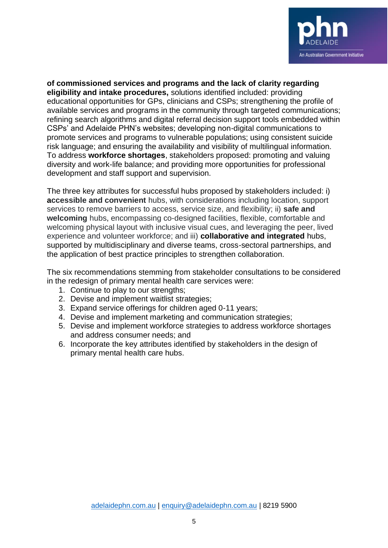

**of commissioned services and programs and the lack of clarity regarding eligibility and intake procedures,** solutions identified included: providing educational opportunities for GPs, clinicians and CSPs; strengthening the profile of available services and programs in the community through targeted communications; refining search algorithms and digital referral decision support tools embedded within CSPs' and Adelaide PHN's websites; developing non-digital communications to promote services and programs to vulnerable populations; using consistent suicide risk language; and ensuring the availability and visibility of multilingual information*.*  To address **workforce shortages**, stakeholders proposed: promoting and valuing diversity and work-life balance; and providing more opportunities for professional development and staff support and supervision.

The three key attributes for successful hubs proposed by stakeholders included: i) **accessible and convenient** hubs, with considerations including location, support services to remove barriers to access, service size, and flexibility; ii) **safe and welcoming** hubs, encompassing co-designed facilities, flexible, comfortable and welcoming physical layout with inclusive visual cues, and leveraging the peer, lived experience and volunteer workforce; and iii) **collaborative and integrated** hubs, supported by multidisciplinary and diverse teams, cross-sectoral partnerships, and the application of best practice principles to strengthen collaboration.

The six recommendations stemming from stakeholder consultations to be considered in the redesign of primary mental health care services were:

- 1. Continue to play to our strengths;
- 2. Devise and implement waitlist strategies;
- 3. Expand service offerings for children aged 0-11 years;
- 4. Devise and implement marketing and communication strategies;
- 5. Devise and implement workforce strategies to address workforce shortages and address consumer needs; and
- 6. Incorporate the key attributes identified by stakeholders in the design of primary mental health care hubs.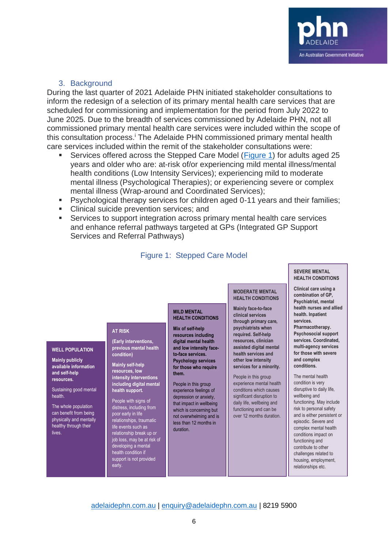

#### 3. Background

<span id="page-5-0"></span>During the last quarter of 2021 Adelaide PHN initiated stakeholder consultations to inform the redesign of a selection of its primary mental health care services that are scheduled for commissioning and implementation for the period from July 2022 to June 2025. Due to the breadth of services commissioned by Adelaide PHN, not all commissioned primary mental health care services were included within the scope of this consultation process.<sup>i</sup> The Adelaide PHN commissioned primary mental health care services included within the remit of the stakeholder consultations were:

- Services offered across the Stepped Care Model [\(Figure 1\)](#page-5-1) for adults aged 25 years and older who are: at-risk of/or experiencing mild mental illness/mental health conditions (Low Intensity Services); experiencing mild to moderate mental illness (Psychological Therapies); or experiencing severe or complex mental illness (Wrap-around and Coordinated Services);
- Psychological therapy services for children aged 0-11 years and their families;
- **EXEC** Clinical suicide prevention services; and
- Services to support integration across primary mental health care services and enhance referral pathways targeted at GPs (Integrated GP Support Services and Referral Pathways)

<span id="page-5-1"></span>

# Figure 1: Stepped Care Model

#### [adelaidephn.com.au](mailto:adelaidephn.com.au) | [enquiry@adelaidephn.com.au](mailto:enquiry@adelaidephn.com.au) | 8219 5900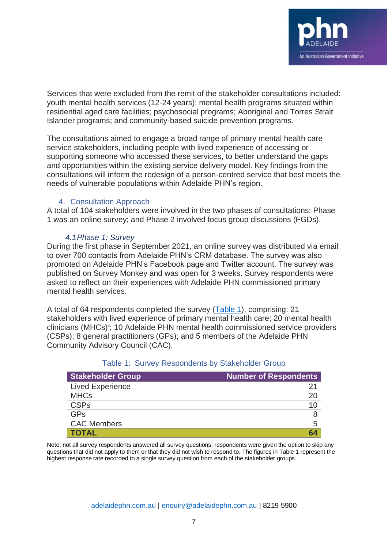

Services that were excluded from the remit of the stakeholder consultations included: youth mental health services (12-24 years); mental health programs situated within residential aged care facilities; psychosocial programs; Aboriginal and Torres Strait Islander programs; and community-based suicide prevention programs.

The consultations aimed to engage a broad range of primary mental health care service stakeholders, including people with lived experience of accessing or supporting someone who accessed these services, to better understand the gaps and opportunities within the existing service delivery model. Key findings from the consultations will inform the redesign of a person-centred service that best meets the needs of vulnerable populations within Adelaide PHN's region.

#### 4. Consultation Approach

<span id="page-6-0"></span>A total of 104 stakeholders were involved in the two phases of consultations: Phase 1 was an online survey; and Phase 2 involved focus group discussions (FGDs).

#### *4.1Phase 1: Survey*

<span id="page-6-1"></span>During the first phase in September 2021, an online survey was distributed via email to over 700 contacts from Adelaide PHN's CRM database. The survey was also promoted on Adelaide PHN's Facebook page and Twitter account. The survey was published on Survey Monkey and was open for 3 weeks. Survey respondents were asked to reflect on their experiences with Adelaide PHN commissioned primary mental health services.

A total of 64 respondents completed the survey [\(Table 1\)](#page-6-2), comprising: 21 stakeholders with lived experience of primary mental health care; 20 mental health clinicians (MHCs)<sup>ii</sup>; 10 Adelaide PHN mental health commissioned service providers (CSPs); 8 general practitioners (GPs); and 5 members of the Adelaide PHN Community Advisory Council (CAC).

<span id="page-6-2"></span>

| <b>Stakeholder Group</b> | <b>Number of Respondents</b> |
|--------------------------|------------------------------|
| <b>Lived Experience</b>  |                              |
| <b>MHCs</b>              | 20                           |
| <b>CSPs</b>              |                              |
| <b>GPs</b>               |                              |
| <b>CAC Members</b>       | 5                            |
| <b>TOTAL</b>             |                              |

#### Table 1: Survey Respondents by Stakeholder Group

Note: not all survey respondents answered all survey questions; respondents were given the option to skip any questions that did not apply to them or that they did not wish to respond to. The figures in Table 1 represent the highest response rate recorded to a single survey question from each of the stakeholder groups.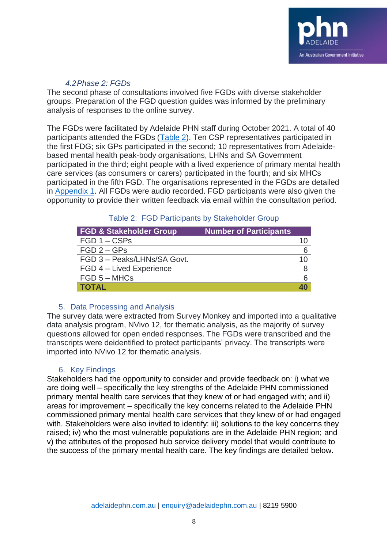

#### *4.2Phase 2: FGDs*

<span id="page-7-0"></span>The second phase of consultations involved five FGDs with diverse stakeholder groups. Preparation of the FGD question guides was informed by the preliminary analysis of responses to the online survey.

The FGDs were facilitated by Adelaide PHN staff during October 2021. A total of 40 participants attended the FGDs [\(Table 2\)](#page-7-3). Ten CSP representatives participated in the first FDG; six GPs participated in the second; 10 representatives from Adelaidebased mental health peak-body organisations, LHNs and SA Government participated in the third; eight people with a lived experience of primary mental health care services (as consumers or carers) participated in the fourth; and six MHCs participated in the fifth FGD. The organisations represented in the FGDs are detailed in [Appendix 1.](#page-28-0) All FGDs were audio recorded. FGD participants were also given the opportunity to provide their written feedback via email within the consultation period.

<span id="page-7-3"></span>

| <b>FGD &amp; Stakeholder Group</b> | <b>Number of Participants</b> |
|------------------------------------|-------------------------------|
| $FGD 1 - CSPs$                     |                               |
| $FGD 2 - GPs$                      |                               |
| FGD 3 - Peaks/LHNs/SA Govt.        | 10                            |
| FGD 4 - Lived Experience           |                               |
| $FGD 5 - MHCs$                     |                               |
| <b>TOTAL</b>                       |                               |

#### Table 2: FGD Participants by Stakeholder Group

#### 5. Data Processing and Analysis

<span id="page-7-1"></span>The survey data were extracted from Survey Monkey and imported into a qualitative data analysis program, NVivo 12, for thematic analysis, as the majority of survey questions allowed for open ended responses. The FGDs were transcribed and the transcripts were deidentified to protect participants' privacy. The transcripts were imported into NVivo 12 for thematic analysis.

# 6. Key Findings

<span id="page-7-2"></span>Stakeholders had the opportunity to consider and provide feedback on: i) what we are doing well – specifically the key strengths of the Adelaide PHN commissioned primary mental health care services that they knew of or had engaged with; and ii) areas for improvement – specifically the key concerns related to the Adelaide PHN commissioned primary mental health care services that they knew of or had engaged with. Stakeholders were also invited to identify: iii) solutions to the key concerns they raised; iv) who the most vulnerable populations are in the Adelaide PHN region; and v) the attributes of the proposed hub service delivery model that would contribute to the success of the primary mental health care. The key findings are detailed below.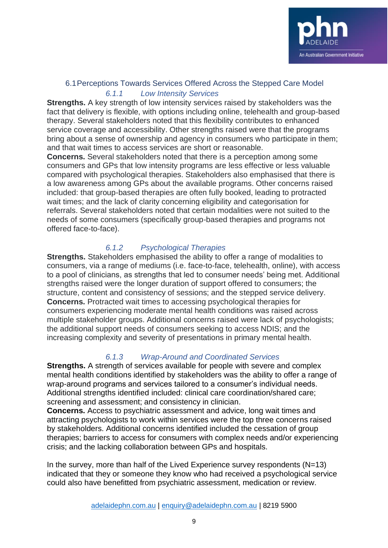

# <span id="page-8-0"></span>6.1Perceptions Towards Services Offered Across the Stepped Care Model *6.1.1 Low Intensity Services*

**Strengths.** A key strength of low intensity services raised by stakeholders was the fact that delivery is flexible, with options including online, telehealth and group-based therapy. Several stakeholders noted that this flexibility contributes to enhanced service coverage and accessibility. Other strengths raised were that the programs bring about a sense of ownership and agency in consumers who participate in them; and that wait times to access services are short or reasonable.

**Concerns.** Several stakeholders noted that there is a perception among some consumers and GPs that low intensity programs are less effective or less valuable compared with psychological therapies. Stakeholders also emphasised that there is a low awareness among GPs about the available programs. Other concerns raised included: that group-based therapies are often fully booked, leading to protracted wait times; and the lack of clarity concerning eligibility and categorisation for referrals. Several stakeholders noted that certain modalities were not suited to the needs of some consumers (specifically group-based therapies and programs not offered face-to-face).

# *6.1.2 Psychological Therapies*

**Strengths.** Stakeholders emphasised the ability to offer a range of modalities to consumers, via a range of mediums (i.e. face-to-face, telehealth, online), with access to a pool of clinicians, as strengths that led to consumer needs' being met. Additional strengths raised were the longer duration of support offered to consumers; the structure, content and consistency of sessions; and the stepped service delivery. **Concerns.** Protracted wait times to accessing psychological therapies for consumers experiencing moderate mental health conditions was raised across multiple stakeholder groups. Additional concerns raised were lack of psychologists; the additional support needs of consumers seeking to access NDIS; and the increasing complexity and severity of presentations in primary mental health.

# *6.1.3 Wrap-Around and Coordinated Services*

**Strengths.** A strength of services available for people with severe and complex mental health conditions identified by stakeholders was the ability to offer a range of wrap-around programs and services tailored to a consumer's individual needs. Additional strengths identified included: clinical care coordination/shared care; screening and assessment; and consistency in clinician.

**Concerns.** Access to psychiatric assessment and advice, long wait times and attracting psychologists to work within services were the top three concerns raised by stakeholders. Additional concerns identified included the cessation of group therapies; barriers to access for consumers with complex needs and/or experiencing crisis; and the lacking collaboration between GPs and hospitals.

In the survey, more than half of the Lived Experience survey respondents  $(N=13)$ indicated that they or someone they know who had received a psychological service could also have benefitted from psychiatric assessment, medication or review.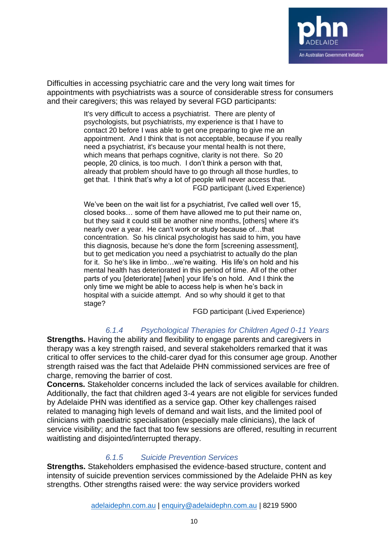

Difficulties in accessing psychiatric care and the very long wait times for appointments with psychiatrists was a source of considerable stress for consumers and their caregivers; this was relayed by several FGD participants:

> It's very difficult to access a psychiatrist. There are plenty of psychologists, but psychiatrists, my experience is that I have to contact 20 before I was able to get one preparing to give me an appointment. And I think that is not acceptable, because if you really need a psychiatrist, it's because your mental health is not there, which means that perhaps cognitive, clarity is not there. So 20 people, 20 clinics, is too much. I don't think a person with that, already that problem should have to go through all those hurdles, to get that. I think that's why a lot of people will never access that. FGD participant (Lived Experience)

We've been on the wait list for a psychiatrist, I've called well over 15, closed books… some of them have allowed me to put their name on, but they said it could still be another nine months, [others] where it's nearly over a year. He can't work or study because of…that concentration. So his clinical psychologist has said to him, you have this diagnosis, because he's done the form [screening assessment], but to get medication you need a psychiatrist to actually do the plan for it. So he's like in limbo…we're waiting. His life's on hold and his mental health has deteriorated in this period of time. All of the other parts of you [deteriorate] [when] your life's on hold. And I think the only time we might be able to access help is when he's back in hospital with a suicide attempt. And so why should it get to that stage?

FGD participant (Lived Experience)

# *6.1.4 Psychological Therapies for Children Aged 0-11 Years*

**Strengths.** Having the ability and flexibility to engage parents and caregivers in therapy was a key strength raised, and several stakeholders remarked that it was critical to offer services to the child-carer dyad for this consumer age group. Another strength raised was the fact that Adelaide PHN commissioned services are free of charge, removing the barrier of cost.

**Concerns.** Stakeholder concerns included the lack of services available for children. Additionally, the fact that children aged 3-4 years are not eligible for services funded by Adelaide PHN was identified as a service gap. Other key challenges raised related to managing high levels of demand and wait lists, and the limited pool of clinicians with paediatric specialisation (especially male clinicians), the lack of service visibility; and the fact that too few sessions are offered, resulting in recurrent waitlisting and disjointed/interrupted therapy.

#### *6.1.5 Suicide Prevention Services*

**Strengths.** Stakeholders emphasised the evidence-based structure, content and intensity of suicide prevention services commissioned by the Adelaide PHN as key strengths. Other strengths raised were: the way service providers worked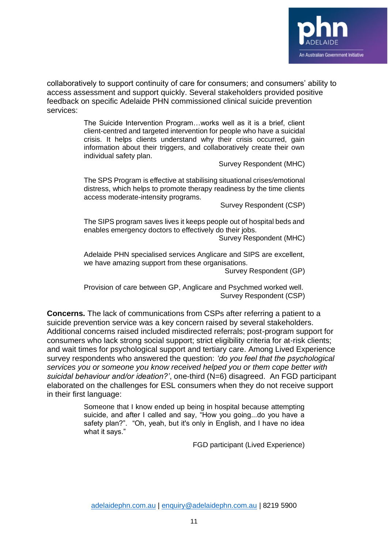

collaboratively to support continuity of care for consumers; and consumers' ability to access assessment and support quickly. Several stakeholders provided positive feedback on specific Adelaide PHN commissioned clinical suicide prevention services:

> The Suicide Intervention Program…works well as it is a brief, client client-centred and targeted intervention for people who have a suicidal crisis. It helps clients understand why their crisis occurred, gain information about their triggers, and collaboratively create their own individual safety plan.

> > Survey Respondent (MHC)

The SPS Program is effective at stabilising situational crises/emotional distress, which helps to promote therapy readiness by the time clients access moderate-intensity programs.

Survey Respondent (CSP)

The SIPS program saves lives it keeps people out of hospital beds and enables emergency doctors to effectively do their jobs.

Survey Respondent (MHC)

Adelaide PHN specialised services Anglicare and SIPS are excellent, we have amazing support from these organisations.

Survey Respondent (GP)

Provision of care between GP, Anglicare and Psychmed worked well. Survey Respondent (CSP)

**Concerns.** The lack of communications from CSPs after referring a patient to a suicide prevention service was a key concern raised by several stakeholders. Additional concerns raised included misdirected referrals; post-program support for consumers who lack strong social support; strict eligibility criteria for at-risk clients; and wait times for psychological support and tertiary care. Among Lived Experience survey respondents who answered the question: *'do you feel that the psychological services you or someone you know received helped you or them cope better with suicidal behaviour and/or ideation?'*, one-third (N=6) disagreed. An FGD participant elaborated on the challenges for ESL consumers when they do not receive support in their first language:

> Someone that I know ended up being in hospital because attempting suicide, and after I called and say, "How you going...do you have a safety plan?". "Oh, yeah, but it's only in English, and I have no idea what it says."

> > FGD participant (Lived Experience)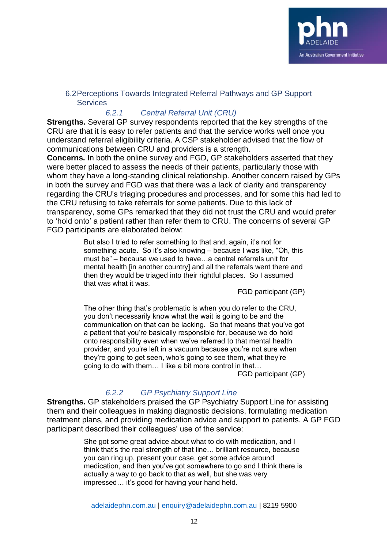

#### <span id="page-11-0"></span>6.2Perceptions Towards Integrated Referral Pathways and GP Support **Services**

# *6.2.1 Central Referral Unit (CRU)*

**Strengths.** Several GP survey respondents reported that the key strengths of the CRU are that it is easy to refer patients and that the service works well once you understand referral eligibility criteria. A CSP stakeholder advised that the flow of communications between CRU and providers is a strength.

**Concerns.** In both the online survey and FGD, GP stakeholders asserted that they were better placed to assess the needs of their patients, particularly those with whom they have a long-standing clinical relationship. Another concern raised by GPs in both the survey and FGD was that there was a lack of clarity and transparency regarding the CRU's triaging procedures and processes, and for some this had led to the CRU refusing to take referrals for some patients. Due to this lack of transparency, some GPs remarked that they did not trust the CRU and would prefer to 'hold onto' a patient rather than refer them to CRU. The concerns of several GP FGD participants are elaborated below:

> But also I tried to refer something to that and, again, it's not for something acute. So it's also knowing – because I was like, "Oh, this must be" – because we used to have…a central referrals unit for mental health [in another country] and all the referrals went there and then they would be triaged into their rightful places. So I assumed that was what it was.

> > FGD participant (GP)

The other thing that's problematic is when you do refer to the CRU, you don't necessarily know what the wait is going to be and the communication on that can be lacking. So that means that you've got a patient that you're basically responsible for, because we do hold onto responsibility even when we've referred to that mental health provider, and you're left in a vacuum because you're not sure when they're going to get seen, who's going to see them, what they're going to do with them… I like a bit more control in that…

FGD participant (GP)

# *6.2.2 GP Psychiatry Support Line*

**Strengths.** GP stakeholders praised the GP Psychiatry Support Line for assisting them and their colleagues in making diagnostic decisions, formulating medication treatment plans, and providing medication advice and support to patients. A GP FGD participant described their colleagues' use of the service:

> She got some great advice about what to do with medication, and I think that's the real strength of that line… brilliant resource, because you can ring up, present your case, get some advice around medication, and then you've got somewhere to go and I think there is actually a way to go back to that as well, but she was very impressed… it's good for having your hand held.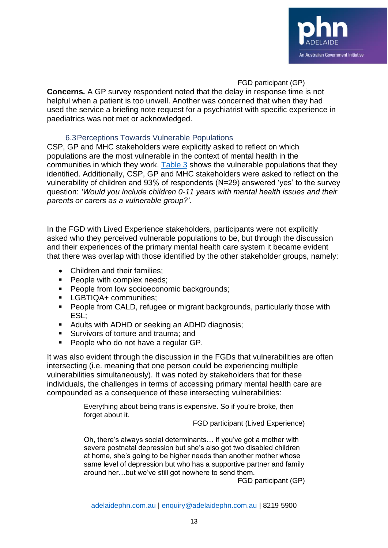

FGD participant (GP) **Concerns.** A GP survey respondent noted that the delay in response time is not helpful when a patient is too unwell. Another was concerned that when they had used the service a briefing note request for a psychiatrist with specific experience in paediatrics was not met or acknowledged.

#### 6.3Perceptions Towards Vulnerable Populations

<span id="page-12-0"></span>CSP, GP and MHC stakeholders were explicitly asked to reflect on which populations are the most vulnerable in the context of mental health in the communities in which they work.  $Table 3$  shows the vulnerable populations that they identified. Additionally, CSP, GP and MHC stakeholders were asked to reflect on the vulnerability of children and 93% of respondents (N=29) answered 'yes' to the survey question: *'Would you include children 0-11 years with mental health issues and their parents or carers as a vulnerable group?'*.

In the FGD with Lived Experience stakeholders, participants were not explicitly asked who they perceived vulnerable populations to be, but through the discussion and their experiences of the primary mental health care system it became evident that there was overlap with those identified by the other stakeholder groups, namely:

- Children and their families:
- People with complex needs;
- **People from low socioeconomic backgrounds;**
- **E** LGBTIQA+ communities:
- People from CALD, refugee or migrant backgrounds, particularly those with ESL;
- Adults with ADHD or seeking an ADHD diagnosis;
- Survivors of torture and trauma: and
- People who do not have a regular GP.

It was also evident through the discussion in the FGDs that vulnerabilities are often intersecting (i.e. meaning that one person could be experiencing multiple vulnerabilities simultaneously). It was noted by stakeholders that for these individuals, the challenges in terms of accessing primary mental health care are compounded as a consequence of these intersecting vulnerabilities:

> Everything about being trans is expensive. So if you're broke, then forget about it.

FGD participant (Lived Experience)

Oh, there's always social determinants… if you've got a mother with severe postnatal depression but she's also got two disabled children at home, she's going to be higher needs than another mother whose same level of depression but who has a supportive partner and family around her…but we've still got nowhere to send them.

FGD participant (GP)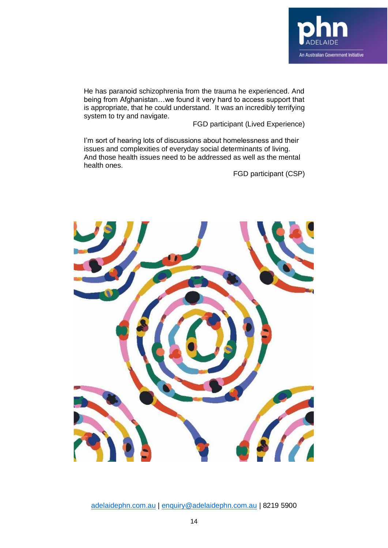

He has paranoid schizophrenia from the trauma he experienced. And being from Afghanistan…we found it very hard to access support that is appropriate, that he could understand. It was an incredibly terrifying system to try and navigate.

FGD participant (Lived Experience)

I'm sort of hearing lots of discussions about homelessness and their issues and complexities of everyday social determinants of living. And those health issues need to be addressed as well as the mental health ones.

FGD participant (CSP)

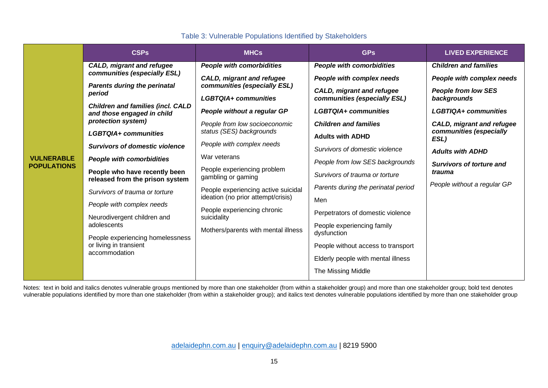|                                         | <b>CSPs</b>                                                                                | <b>MHCs</b>                                                                                                                                                                 | <b>GPs</b>                                | <b>LIVED EXPERIENCE</b>          |  |
|-----------------------------------------|--------------------------------------------------------------------------------------------|-----------------------------------------------------------------------------------------------------------------------------------------------------------------------------|-------------------------------------------|----------------------------------|--|
|                                         | <b>CALD, migrant and refugee</b>                                                           | <b>People with comorbidities</b>                                                                                                                                            | <b>People with comorbidities</b>          | <b>Children and families</b>     |  |
|                                         | communities (especially ESL)                                                               | <b>CALD, migrant and refugee</b>                                                                                                                                            | People with complex needs                 | People with complex needs        |  |
|                                         | <b>Parents during the perinatal</b><br>period                                              | communities (especially ESL)                                                                                                                                                | <b>CALD, migrant and refugee</b>          | <b>People from low SES</b>       |  |
|                                         |                                                                                            | <b>LGBTQIA+ communities</b>                                                                                                                                                 | communities (especially ESL)              | backgrounds                      |  |
|                                         | <b>Children and families (incl. CALD</b><br>and those engaged in child                     | People without a regular GP                                                                                                                                                 | <b>LGBTQIA+ communities</b>               | <b>LGBTIQA+ communities</b>      |  |
|                                         | protection system)                                                                         | People from low socioeconomic                                                                                                                                               | <b>Children and families</b>              | <b>CALD, migrant and refugee</b> |  |
|                                         | <b>LGBTQIA+ communities</b>                                                                | status (SES) backgrounds                                                                                                                                                    | <b>Adults with ADHD</b>                   | communities (especially<br>ESL)  |  |
|                                         | <b>Survivors of domestic violence</b>                                                      | People with complex needs<br>War veterans<br>People experiencing problem<br>gambling or gaming<br>People experiencing active suicidal<br>ideation (no prior attempt/crisis) | Survivors of domestic violence            | <b>Adults with ADHD</b>          |  |
| <b>VULNERABLE</b><br><b>POPULATIONS</b> | <b>People with comorbidities</b>                                                           |                                                                                                                                                                             | People from low SES backgrounds           | <b>Survivors of torture and</b>  |  |
|                                         | People who have recently been<br>released from the prison system                           |                                                                                                                                                                             | Survivors of trauma or torture            | trauma                           |  |
|                                         | Survivors of trauma or torture                                                             |                                                                                                                                                                             | Parents during the perinatal period       | People without a regular GP      |  |
|                                         | People with complex needs                                                                  |                                                                                                                                                                             | Men                                       |                                  |  |
|                                         | Neurodivergent children and                                                                | People experiencing chronic<br>suicidality                                                                                                                                  | Perpetrators of domestic violence         |                                  |  |
|                                         | adolescents<br>People experiencing homelessness<br>or living in transient<br>accommodation | Mothers/parents with mental illness                                                                                                                                         | People experiencing family<br>dysfunction |                                  |  |
|                                         |                                                                                            |                                                                                                                                                                             | People without access to transport        |                                  |  |
|                                         |                                                                                            |                                                                                                                                                                             | Elderly people with mental illness        |                                  |  |
|                                         |                                                                                            |                                                                                                                                                                             | The Missing Middle                        |                                  |  |

#### Table 3: Vulnerable Populations Identified by Stakeholders

<span id="page-14-0"></span>Notes: text in bold and italics denotes vulnerable groups mentioned by more than one stakeholder (from within a stakeholder group) and more than one stakeholder group; bold text denotes vulnerable populations identified by more than one stakeholder (from within a stakeholder group); and italics text denotes vulnerable populations identified by more than one stakeholder group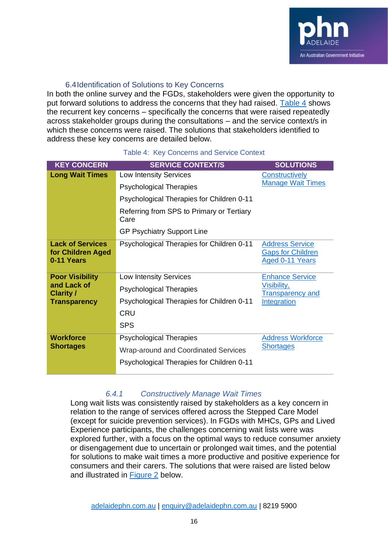#### 6.4Identification of Solutions to Key Concerns

<span id="page-15-0"></span>In both the online survey and the FGDs, stakeholders were given the opportunity to put forward solutions to address the concerns that they had raised. [Table 4](#page-15-1) shows the recurrent key concerns – specifically the concerns that were raised repeatedly across stakeholder groups during the consultations – and the service context/s in which these concerns were raised. The solutions that stakeholders identified to address these key concerns are detailed below.

#### Table 4: Key Concerns and Service Context

<span id="page-15-1"></span>

| <b>KEY CONCERN</b>                                         | <b>SERVICE CONTEXT/S</b>                          | <b>SOLUTIONS</b>                                                      |
|------------------------------------------------------------|---------------------------------------------------|-----------------------------------------------------------------------|
| <b>Long Wait Times</b>                                     | <b>Low Intensity Services</b>                     | <b>Constructively</b>                                                 |
|                                                            | <b>Psychological Therapies</b>                    | <b>Manage Wait Times</b>                                              |
|                                                            | Psychological Therapies for Children 0-11         |                                                                       |
|                                                            | Referring from SPS to Primary or Tertiary<br>Care |                                                                       |
|                                                            | <b>GP Psychiatry Support Line</b>                 |                                                                       |
| <b>Lack of Services</b><br>for Children Aged<br>0-11 Years | Psychological Therapies for Children 0-11         | <b>Address Service</b><br><b>Gaps for Children</b><br>Aged 0-11 Years |
| <b>Poor Visibility</b>                                     | <b>Low Intensity Services</b>                     | <b>Enhance Service</b>                                                |
| and Lack of<br><b>Clarity /</b>                            | <b>Psychological Therapies</b>                    | Visibility,<br><b>Transparency and</b>                                |
| <b>Transparency</b>                                        | Psychological Therapies for Children 0-11         | Integration                                                           |
|                                                            | <b>CRU</b>                                        |                                                                       |
|                                                            | <b>SPS</b>                                        |                                                                       |
| <b>Workforce</b>                                           | <b>Psychological Therapies</b>                    | <b>Address Workforce</b>                                              |
| <b>Shortages</b>                                           | Wrap-around and Coordinated Services              | <b>Shortages</b>                                                      |
|                                                            | Psychological Therapies for Children 0-11         |                                                                       |
|                                                            |                                                   |                                                                       |

# *6.4.1 Constructively Manage Wait Times*

<span id="page-15-2"></span>Long wait lists was consistently raised by stakeholders as a key concern in relation to the range of services offered across the Stepped Care Model (except for suicide prevention services). In FGDs with MHCs, GPs and Lived Experience participants, the challenges concerning wait lists were was explored further, with a focus on the optimal ways to reduce consumer anxiety or disengagement due to uncertain or prolonged wait times, and the potential for solutions to make wait times a more productive and positive experience for consumers and their carers. The solutions that were raised are listed below and illustrated in [Figure 2](#page-17-1) below.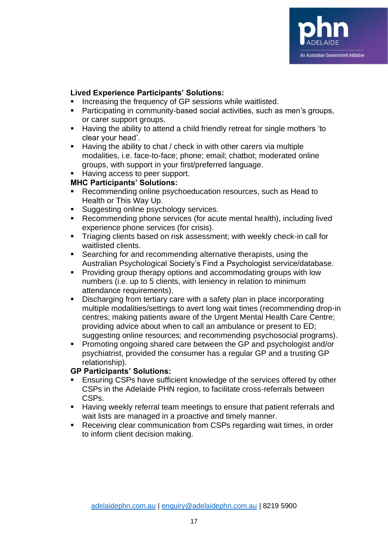#### **Lived Experience Participants' Solutions:**

- Increasing the frequency of GP sessions while waitlisted.
- Participating in community-based social activities, such as men's groups, or carer support groups.
- Having the ability to attend a child friendly retreat for single mothers 'to clear your head'.
- Having the ability to chat / check in with other carers via multiple modalities, i.e. face-to-face; phone; email; chatbot; moderated online groups, with support in your first/preferred language.
- Having access to peer support.

# **MHC Participants' Solutions:**

- Recommending online psychoeducation resources, such as Head to Health or This Way Up.
- Suggesting online psychology services.
- Recommending phone services (for acute mental health), including lived experience phone services (for crisis).
- **EXECT** Triaging clients based on risk assessment; with weekly check-in call for waitlisted clients.
- Searching for and recommending alternative therapists, using the Australian Psychological Society's Find a Psychologist service/database.
- Providing group therapy options and accommodating groups with low numbers (i.e. up to 5 clients, with leniency in relation to minimum attendance requirements).
- **•** Discharging from tertiary care with a safety plan in place incorporating multiple modalities/settings to avert long wait times (recommending drop-in centres; making patients aware of the Urgent Mental Health Care Centre; providing advice about when to call an ambulance or present to ED; suggesting online resources; and recommending psychosocial programs).
- Promoting ongoing shared care between the GP and psychologist and/or psychiatrist, provided the consumer has a regular GP and a trusting GP relationship).

#### **GP Participants' Solutions:**

- Ensuring CSPs have sufficient knowledge of the services offered by other CSPs in the Adelaide PHN region, to facilitate cross-referrals between CSPs.
- Having weekly referral team meetings to ensure that patient referrals and wait lists are managed in a proactive and timely manner.
- Receiving clear communication from CSPs regarding wait times, in order to inform client decision making.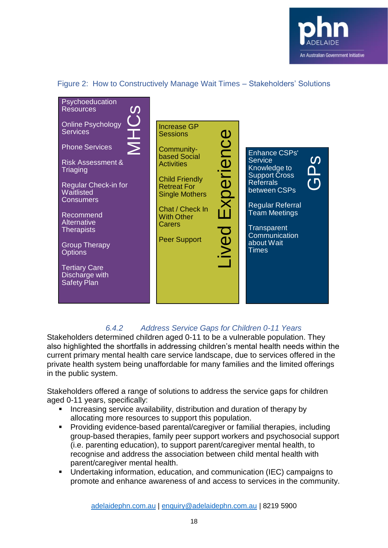

# Figure 2: How to Constructively Manage Wait Times – Stakeholders' Solutions

<span id="page-17-1"></span>

# *6.4.2 Address Service Gaps for Children 0-11 Years*

<span id="page-17-0"></span>Stakeholders determined children aged 0-11 to be a vulnerable population. They also highlighted the shortfalls in addressing children's mental health needs within the current primary mental health care service landscape, due to services offered in the private health system being unaffordable for many families and the limited offerings in the public system.

Stakeholders offered a range of solutions to address the service gaps for children aged 0-11 years, specifically:

- Increasing service availability, distribution and duration of therapy by allocating more resources to support this population.
- Providing evidence-based parental/caregiver or familial therapies, including group-based therapies, family peer support workers and psychosocial support (i.e. parenting education), to support parent/caregiver mental health, to recognise and address the association between child mental health with parent/caregiver mental health.
- Undertaking information, education, and communication (IEC) campaigns to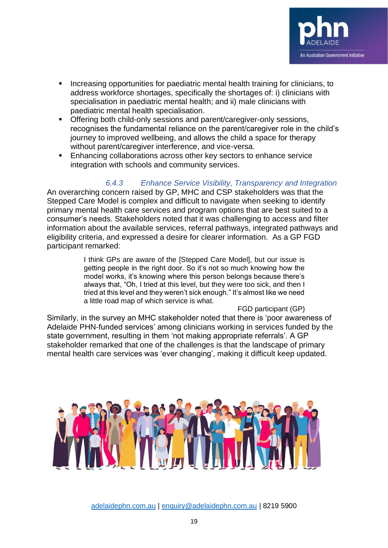

- Increasing opportunities for paediatric mental health training for clinicians, to address workforce shortages, specifically the shortages of: i) clinicians with specialisation in paediatric mental health; and ii) male clinicians with paediatric mental health specialisation.
- Offering both child-only sessions and parent/caregiver-only sessions, recognises the fundamental reliance on the parent/caregiver role in the child's journey to improved wellbeing, and allows the child a space for therapy without parent/caregiver interference, and vice-versa.
- Enhancing collaborations across other key sectors to enhance service integration with schools and community services.

# *6.4.3 Enhance Service Visibility, Transparency and Integration*

<span id="page-18-0"></span>An overarching concern raised by GP, MHC and CSP stakeholders was that the Stepped Care Model is complex and difficult to navigate when seeking to identify primary mental health care services and program options that are best suited to a consumer's needs. Stakeholders noted that it was challenging to access and filter information about the available services, referral pathways, integrated pathways and eligibility criteria, and expressed a desire for clearer information. As a GP FGD participant remarked:

> I think GPs are aware of the [Stepped Care Model], but our issue is getting people in the right door. So it's not so much knowing how the model works, it's knowing where this person belongs because there's always that, "Oh, I tried at this level, but they were too sick, and then I tried at this level and they weren't sick enough." It's almost like we need a little road map of which service is what.

#### FGD participant (GP)

Similarly, in the survey an MHC stakeholder noted that there is 'poor awareness of Adelaide PHN-funded services' among clinicians working in services funded by the state government, resulting in them 'not making appropriate referrals'. A GP stakeholder remarked that one of the challenges is that the landscape of primary mental health care services was 'ever changing', making it difficult keep updated.

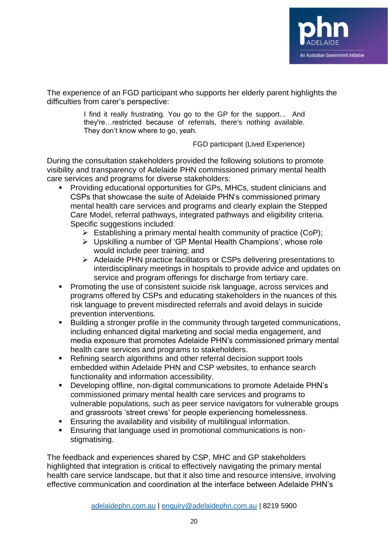The experience of an FGD participant who supports her elderly parent highlights the difficulties from carer's perspective:

> I find it really frustrating. You go to the GP for the support... And they're…restricted because of referrals, there's nothing available. They don't know where to go, yeah.

> > FGD participant (Lived Experience)

During the consultation stakeholders provided the following solutions to promote visibility and transparency of Adelaide PHN commissioned primary mental health care services and programs for diverse stakeholders:

- Providing educational opportunities for GPs, MHCs, student clinicians and CSPs that showcase the suite of Adelaide PHN's commissioned primary mental health care services and programs and clearly explain the Stepped Care Model, referral pathways, integrated pathways and eligibility criteria. Specific suggestions included:
	- $\triangleright$  Establishing a primary mental health community of practice (CoP);
	- ➢ Upskilling a number of 'GP Mental Health Champions', whose role would include peer training; and
	- ➢ Adelaide PHN practice facilitators or CSPs delivering presentations to interdisciplinary meetings in hospitals to provide advice and updates on service and program offerings for discharge from tertiary care.
- **Promoting the use of consistent suicide risk language, across services and** programs offered by CSPs and educating stakeholders in the nuances of this risk language to prevent misdirected referrals and avoid delays in suicide prevention interventions.
- Building a stronger profile in the community through targeted communications, including enhanced digital marketing and social media engagement, and media exposure that promotes Adelaide PHN's commissioned primary mental health care services and programs to stakeholders.
- Refining search algorithms and other referral decision support tools embedded within Adelaide PHN and CSP websites, to enhance search functionality and information accessibility.
- Developing offline, non-digital communications to promote Adelaide PHN's commissioned primary mental health care services and programs to vulnerable populations, such as peer service navigators for vulnerable groups and grassroots 'street crews' for people experiencing homelessness.
- Ensuring the availability and visibility of multilingual information.
- Ensuring that language used in promotional communications is nonstigmatising.

The feedback and experiences shared by CSP, MHC and GP stakeholders highlighted that integration is critical to effectively navigating the primary mental health care service landscape, but that it also time and resource intensive, involving effective communication and coordination at the interface between Adelaide PHN's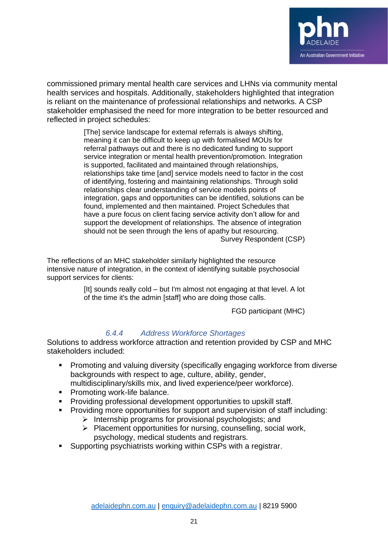

commissioned primary mental health care services and LHNs via community mental health services and hospitals. Additionally, stakeholders highlighted that integration is reliant on the maintenance of professional relationships and networks. A CSP stakeholder emphasised the need for more integration to be better resourced and reflected in project schedules:

> [The] service landscape for external referrals is always shifting, meaning it can be difficult to keep up with formalised MOUs for referral pathways out and there is no dedicated funding to support service integration or mental health prevention/promotion. Integration is supported, facilitated and maintained through relationships, relationships take time [and] service models need to factor in the cost of identifying, fostering and maintaining relationships. Through solid relationships clear understanding of service models points of integration, gaps and opportunities can be identified, solutions can be found, implemented and then maintained. Project Schedules that have a pure focus on client facing service activity don't allow for and support the development of relationships. The absence of integration should not be seen through the lens of apathy but resourcing. Survey Respondent (CSP)

The reflections of an MHC stakeholder similarly highlighted the resource intensive nature of integration, in the context of identifying suitable psychosocial support services for clients:

> [It] sounds really cold – but I'm almost not engaging at that level. A lot of the time it's the admin [staff] who are doing those calls.

> > FGD participant (MHC)

# *6.4.4 Address Workforce Shortages*

<span id="page-20-0"></span>Solutions to address workforce attraction and retention provided by CSP and MHC stakeholders included:

- Promoting and valuing diversity (specifically engaging workforce from diverse backgrounds with respect to age, culture, ability, gender, multidisciplinary/skills mix, and lived experience/peer workforce).
- Promoting work-life balance.
- Providing professional development opportunities to upskill staff.
- Providing more opportunities for support and supervision of staff including:
	- ➢ Internship programs for provisional psychologists; and
	- ➢ Placement opportunities for nursing, counselling, social work, psychology, medical students and registrars.
- Supporting psychiatrists working within CSPs with a registrar.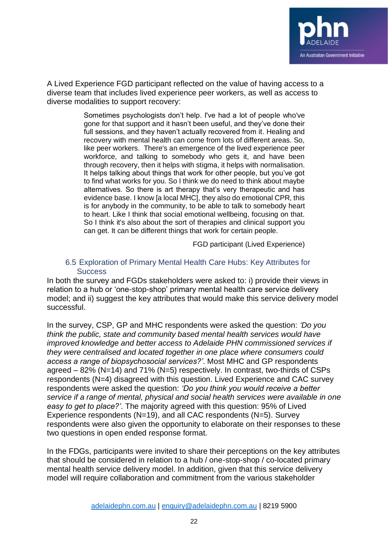

A Lived Experience FGD participant reflected on the value of having access to a diverse team that includes lived experience peer workers, as well as access to diverse modalities to support recovery:

> Sometimes psychologists don't help. I've had a lot of people who've gone for that support and it hasn't been useful, and they've done their full sessions, and they haven't actually recovered from it. Healing and recovery with mental health can come from lots of different areas. So, like peer workers. There's an emergence of the lived experience peer workforce, and talking to somebody who gets it, and have been through recovery, then it helps with stigma, it helps with normalisation. It helps talking about things that work for other people, but you've got to find what works for you. So I think we do need to think about maybe alternatives. So there is art therapy that's very therapeutic and has evidence base. I know [a local MHC], they also do emotional CPR, this is for anybody in the community, to be able to talk to somebody heart to heart. Like I think that social emotional wellbeing, focusing on that. So I think it's also about the sort of therapies and clinical support you can get. It can be different things that work for certain people.

> > FGD participant (Lived Experience)

#### <span id="page-21-0"></span>6.5 Exploration of Primary Mental Health Care Hubs: Key Attributes for **Success**

In both the survey and FGDs stakeholders were asked to: i) provide their views in relation to a hub or 'one-stop-shop' primary mental health care service delivery model; and ii) suggest the key attributes that would make this service delivery model successful.

In the survey, CSP, GP and MHC respondents were asked the question: *'Do you think the public, state and community based mental health services would have improved knowledge and better access to Adelaide PHN commissioned services if they were centralised and located together in one place where consumers could access a range of biopsychosocial services?'*. Most MHC and GP respondents agreed – 82% (N=14) and 71% (N=5) respectively. In contrast, two-thirds of CSPs respondents (N=4) disagreed with this question. Lived Experience and CAC survey respondents were asked the question: *'Do you think you would receive a better service if a range of mental, physical and social health services were available in one easy to get to place?'*. The majority agreed with this question: 95% of Lived Experience respondents (N=19), and all CAC respondents (N=5). Survey respondents were also given the opportunity to elaborate on their responses to these two questions in open ended response format.

In the FDGs, participants were invited to share their perceptions on the key attributes that should be considered in relation to a hub / one-stop-shop / co-located primary mental health service delivery model. In addition, given that this service delivery model will require collaboration and commitment from the various stakeholder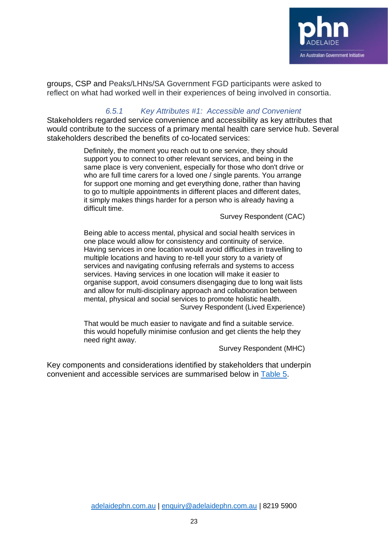

groups, CSP and Peaks/LHNs/SA Government FGD participants were asked to reflect on what had worked well in their experiences of being involved in consortia.

#### *6.5.1 Key Attributes #1: Accessible and Convenient*

Stakeholders regarded service convenience and accessibility as key attributes that would contribute to the success of a primary mental health care service hub. Several stakeholders described the benefits of co-located services:

> Definitely, the moment you reach out to one service, they should support you to connect to other relevant services, and being in the same place is very convenient, especially for those who don't drive or who are full time carers for a loved one / single parents. You arrange for support one morning and get everything done, rather than having to go to multiple appointments in different places and different dates, it simply makes things harder for a person who is already having a difficult time.

> > Survey Respondent (CAC)

Being able to access mental, physical and social health services in one place would allow for consistency and continuity of service. Having services in one location would avoid difficulties in travelling to multiple locations and having to re-tell your story to a variety of services and navigating confusing referrals and systems to access services. Having services in one location will make it easier to organise support, avoid consumers disengaging due to long wait lists and allow for multi-disciplinary approach and collaboration between mental, physical and social services to promote holistic health. Survey Respondent (Lived Experience)

That would be much easier to navigate and find a suitable service. this would hopefully minimise confusion and get clients the help they need right away.

Survey Respondent (MHC)

Key components and considerations identified by stakeholders that underpin convenient and accessible services are summarised below in [Table 5.](#page-23-0)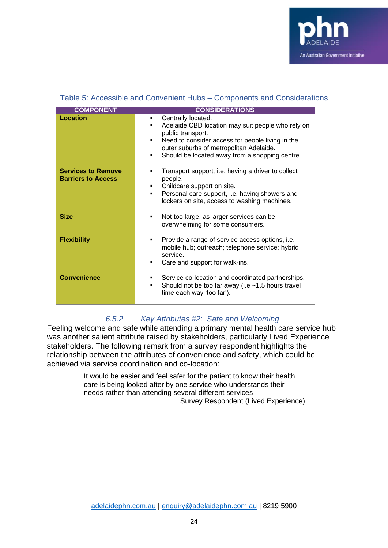| <b>COMPONENT</b>                                       | <b>CONSIDERATIONS</b>                                                                                                                                                                                                                                        |
|--------------------------------------------------------|--------------------------------------------------------------------------------------------------------------------------------------------------------------------------------------------------------------------------------------------------------------|
| <b>Location</b>                                        | Centrally located.<br>٠<br>Adelaide CBD location may suit people who rely on<br>public transport.<br>Need to consider access for people living in the<br>٠<br>outer suburbs of metropolitan Adelaide.<br>Should be located away from a shopping centre.<br>٠ |
| <b>Services to Remove</b><br><b>Barriers to Access</b> | Transport support, i.e. having a driver to collect<br>٠<br>people.<br>Childcare support on site.<br>Personal care support, i.e. having showers and<br>٠<br>lockers on site, access to washing machines.                                                      |
| <b>Size</b>                                            | Not too large, as larger services can be<br>٠<br>overwhelming for some consumers.                                                                                                                                                                            |
| <b>Flexibility</b>                                     | Provide a range of service access options, i.e.<br>٠<br>mobile hub; outreach; telephone service; hybrid<br>service.<br>Care and support for walk-ins.<br>٠                                                                                                   |
| <b>Convenience</b>                                     | Service co-location and coordinated partnerships.<br>Should not be too far away (i.e $~1.5$ hours travel<br>time each way 'too far').                                                                                                                        |

# <span id="page-23-0"></span>Table 5: Accessible and Convenient Hubs – Components and Considerations

# *6.5.2 Key Attributes #2: Safe and Welcoming*

Feeling welcome and safe while attending a primary mental health care service hub was another salient attribute raised by stakeholders, particularly Lived Experience stakeholders. The following remark from a survey respondent highlights the relationship between the attributes of convenience and safety, which could be achieved via service coordination and co-location:

> It would be easier and feel safer for the patient to know their health care is being looked after by one service who understands their needs rather than attending several different services Survey Respondent (Lived Experience)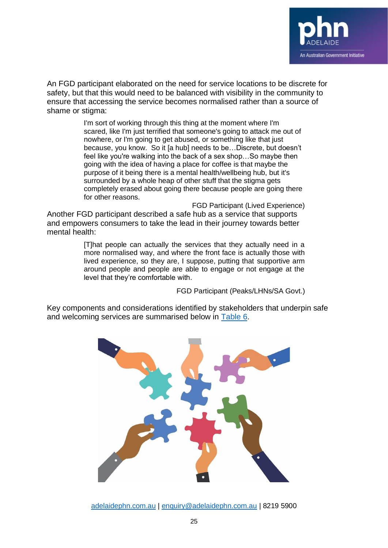

An FGD participant elaborated on the need for service locations to be discrete for safety, but that this would need to be balanced with visibility in the community to ensure that accessing the service becomes normalised rather than a source of shame or stigma:

> I'm sort of working through this thing at the moment where I'm scared, like I'm just terrified that someone's going to attack me out of nowhere, or I'm going to get abused, or something like that just because, you know. So it [a hub] needs to be…Discrete, but doesn't feel like you're walking into the back of a sex shop…So maybe then going with the idea of having a place for coffee is that maybe the purpose of it being there is a mental health/wellbeing hub, but it's surrounded by a whole heap of other stuff that the stigma gets completely erased about going there because people are going there for other reasons.

> > FGD Participant (Lived Experience)

Another FGD participant described a safe hub as a service that supports and empowers consumers to take the lead in their journey towards better mental health:

> [T]hat people can actually the services that they actually need in a more normalised way, and where the front face is actually those with lived experience, so they are, I suppose, putting that supportive arm around people and people are able to engage or not engage at the level that they're comfortable with.

> > FGD Participant (Peaks/LHNs/SA Govt.)

Key components and considerations identified by stakeholders that underpin safe and welcoming services are summarised below in [Table 6.](#page-25-0)



[adelaidephn.com.au](mailto:adelaidephn.com.au) | [enquiry@adelaidephn.com.au](mailto:enquiry@adelaidephn.com.au) | 8219 5900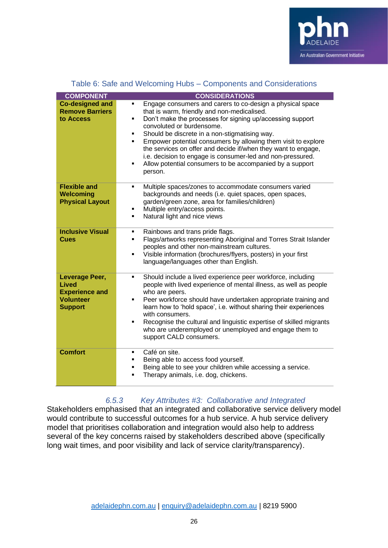

<span id="page-25-0"></span>

| <b>COMPONENT</b>                                                                              | <b>CONSIDERATIONS</b>                                                                                                                                                                                                                                                                                                                                                                                                                                                                                                                                       |
|-----------------------------------------------------------------------------------------------|-------------------------------------------------------------------------------------------------------------------------------------------------------------------------------------------------------------------------------------------------------------------------------------------------------------------------------------------------------------------------------------------------------------------------------------------------------------------------------------------------------------------------------------------------------------|
| <b>Co-designed and</b><br><b>Remove Barriers</b><br>to Access                                 | Engage consumers and carers to co-design a physical space<br>that is warm, friendly and non-medicalised.<br>Don't make the processes for signing up/accessing support<br>٠<br>convoluted or burdensome.<br>Should be discrete in a non-stigmatising way.<br>п<br>Empower potential consumers by allowing them visit to explore<br>$\blacksquare$<br>the services on offer and decide if/when they want to engage,<br>i.e. decision to engage is consumer-led and non-pressured.<br>Allow potential consumers to be accompanied by a support<br>٠<br>person. |
| <b>Flexible and</b><br><b>Welcoming</b><br><b>Physical Layout</b>                             | Multiple spaces/zones to accommodate consumers varied<br>٠<br>backgrounds and needs (i.e. quiet spaces, open spaces,<br>garden/green zone, area for families/children)<br>Multiple entry/access points.<br>٠<br>Natural light and nice views<br>٠                                                                                                                                                                                                                                                                                                           |
| <b>Inclusive Visual</b><br><b>Cues</b>                                                        | Rainbows and trans pride flags.<br>٠<br>Flags/artworks representing Aboriginal and Torres Strait Islander<br>٠<br>peoples and other non-mainstream cultures.<br>Visible information (brochures/flyers, posters) in your first<br>٠<br>language/languages other than English.                                                                                                                                                                                                                                                                                |
| Leverage Peer,<br><b>Lived</b><br><b>Experience and</b><br><b>Volunteer</b><br><b>Support</b> | Should include a lived experience peer workforce, including<br>$\blacksquare$<br>people with lived experience of mental illness, as well as people<br>who are peers.<br>Peer workforce should have undertaken appropriate training and<br>٠<br>learn how to 'hold space', i.e. without sharing their experiences<br>with consumers.<br>Recognise the cultural and linguistic expertise of skilled migrants<br>who are underemployed or unemployed and engage them to<br>support CALD consumers.                                                             |
| <b>Comfort</b>                                                                                | Café on site.<br>$\blacksquare$<br>Being able to access food yourself.<br>Being able to see your children while accessing a service.<br>٠<br>Therapy animals, i.e. dog, chickens.                                                                                                                                                                                                                                                                                                                                                                           |

# Table 6: Safe and Welcoming Hubs – Components and Considerations

#### *6.5.3 Key Attributes #3: Collaborative and Integrated*

Stakeholders emphasised that an integrated and collaborative service delivery model would contribute to successful outcomes for a hub service. A hub service delivery model that prioritises collaboration and integration would also help to address several of the key concerns raised by stakeholders described above (specifically long wait times, and poor visibility and lack of service clarity/transparency).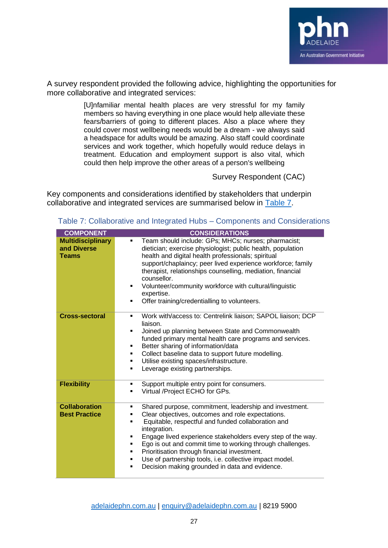

A survey respondent provided the following advice, highlighting the opportunities for more collaborative and integrated services:

> [U]nfamiliar mental health places are very stressful for my family members so having everything in one place would help alleviate these fears/barriers of going to different places. Also a place where they could cover most wellbeing needs would be a dream - we always said a headspace for adults would be amazing. Also staff could coordinate services and work together, which hopefully would reduce delays in treatment. Education and employment support is also vital, which could then help improve the other areas of a person's wellbeing

> > Survey Respondent (CAC)

Key components and considerations identified by stakeholders that underpin collaborative and integrated services are summarised below in [Table 7.](#page-26-0)

<span id="page-26-0"></span>

| Table 7: Collaborative and Integrated Hubs - Components and Considerations |  |
|----------------------------------------------------------------------------|--|
|----------------------------------------------------------------------------|--|

| <b>COMPONENT</b>                                        | <b>CONSIDERATIONS</b>                                                                                                                                                                                                                                                                                                                                                                                                                                                                                    |
|---------------------------------------------------------|----------------------------------------------------------------------------------------------------------------------------------------------------------------------------------------------------------------------------------------------------------------------------------------------------------------------------------------------------------------------------------------------------------------------------------------------------------------------------------------------------------|
| <b>Multidisciplinary</b><br>and Diverse<br><b>Teams</b> | Team should include: GPs; MHCs; nurses; pharmacist;<br>dietician; exercise physiologist; public health, population<br>health and digital health professionals; spiritual<br>support/chaplaincy; peer lived experience workforce; family<br>therapist, relationships counselling, mediation, financial<br>counsellor.<br>Volunteer/community workforce with cultural/linguistic<br>$\blacksquare$<br>expertise.<br>Offer training/credentialling to volunteers.<br>٠                                      |
| <b>Cross-sectoral</b>                                   | Work with/access to: Centrelink liaison; SAPOL liaison; DCP<br>٠<br>liaison.<br>Joined up planning between State and Commonwealth<br>٠<br>funded primary mental health care programs and services.<br>Better sharing of information/data<br>٠<br>Collect baseline data to support future modelling.<br>Utilise existing spaces/infrastructure.<br>٠<br>Leverage existing partnerships.<br>٠                                                                                                              |
| <b>Flexibility</b>                                      | Support multiple entry point for consumers.<br>٠<br>Virtual /Project ECHO for GPs.<br>٠                                                                                                                                                                                                                                                                                                                                                                                                                  |
| <b>Collaboration</b><br><b>Best Practice</b>            | Shared purpose, commitment, leadership and investment.<br>Clear objectives, outcomes and role expectations.<br>٠<br>Equitable, respectful and funded collaboration and<br>٠<br>integration.<br>Engage lived experience stakeholders every step of the way.<br>Ego is out and commit time to working through challenges.<br>٠<br>Prioritisation through financial investment.<br>٠<br>Use of partnership tools, i.e. collective impact model.<br>٠<br>Decision making grounded in data and evidence.<br>п |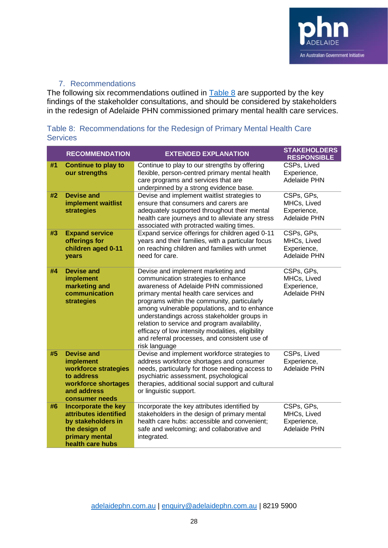#### <span id="page-27-1"></span>7. Recommendations

<span id="page-27-0"></span>The following six recommendations outlined in  $Table 8$  are supported by the key findings of the stakeholder consultations, and should be considered by stakeholders in the redesign of Adelaide PHN commissioned primary mental health care services.

|                 | Table 8: Recommendations for the Redesign of Primary Mental Health Care |  |  |  |
|-----------------|-------------------------------------------------------------------------|--|--|--|
| <b>Services</b> |                                                                         |  |  |  |

|    | <b>RECOMMENDATION</b>                                                                                                        | <b>EXTENDED EXPLANATION</b>                                                                                                                                                                                                                                                                                                                                                                                                                                                          | <b>STAKEHOLDERS</b><br><b>RESPONSIBLE</b>                       |
|----|------------------------------------------------------------------------------------------------------------------------------|--------------------------------------------------------------------------------------------------------------------------------------------------------------------------------------------------------------------------------------------------------------------------------------------------------------------------------------------------------------------------------------------------------------------------------------------------------------------------------------|-----------------------------------------------------------------|
| #1 | <b>Continue to play to</b><br>our strengths                                                                                  | Continue to play to our strengths by offering<br>flexible, person-centred primary mental health<br>care programs and services that are<br>underpinned by a strong evidence base.                                                                                                                                                                                                                                                                                                     | CSPs, Lived<br>Experience,<br><b>Adelaide PHN</b>               |
| #2 | <b>Devise and</b><br>implement waitlist<br><b>strategies</b>                                                                 | Devise and implement waitlist strategies to<br>ensure that consumers and carers are<br>adequately supported throughout their mental<br>health care journeys and to alleviate any stress<br>associated with protracted waiting times.                                                                                                                                                                                                                                                 | CSPs, GPs,<br>MHCs, Lived<br>Experience,<br><b>Adelaide PHN</b> |
| #3 | <b>Expand service</b><br>offerings for<br>children aged 0-11<br>years                                                        | Expand service offerings for children aged 0-11<br>years and their families, with a particular focus<br>on reaching children and families with unmet<br>need for care.                                                                                                                                                                                                                                                                                                               | CSPs, GPs,<br>MHCs, Lived<br>Experience,<br><b>Adelaide PHN</b> |
| #4 | <b>Devise and</b><br>implement<br>marketing and<br>communication<br><b>strategies</b>                                        | Devise and implement marketing and<br>communication strategies to enhance<br>awareness of Adelaide PHN commissioned<br>primary mental health care services and<br>programs within the community, particularly<br>among vulnerable populations, and to enhance<br>understandings across stakeholder groups in<br>relation to service and program availability,<br>efficacy of low intensity modalities, eligibility<br>and referral processes, and consistent use of<br>risk language | CSPs, GPs,<br>MHCs, Lived<br>Experience,<br>Adelaide PHN        |
| #5 | <b>Devise and</b><br>implement<br>workforce strategies<br>to address<br>workforce shortages<br>and address<br>consumer needs | Devise and implement workforce strategies to<br>address workforce shortages and consumer<br>needs, particularly for those needing access to<br>psychiatric assessment, psychological<br>therapies, additional social support and cultural<br>or linguistic support.                                                                                                                                                                                                                  | CSPs, Lived<br>Experience,<br><b>Adelaide PHN</b>               |
| #6 | Incorporate the key<br>attributes identified<br>by stakeholders in<br>the design of<br>primary mental<br>health care hubs    | Incorporate the key attributes identified by<br>stakeholders in the design of primary mental<br>health care hubs: accessible and convenient;<br>safe and welcoming; and collaborative and<br>integrated.                                                                                                                                                                                                                                                                             | CSPs, GPs,<br>MHCs, Lived<br>Experience,<br>Adelaide PHN        |